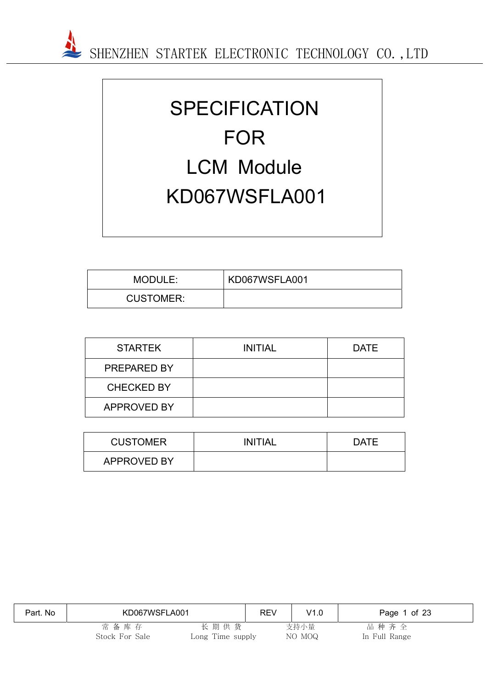

## **SPECIFICATION** FOR LCM Module KD067WSFLA001

| MODULE:          | KD067WSFLA001 |
|------------------|---------------|
| <b>CUSTOMER:</b> |               |

| <b>STARTEK</b>     | <b>INITIAL</b> | <b>DATE</b> |
|--------------------|----------------|-------------|
| <b>PREPARED BY</b> |                |             |
| <b>CHECKED BY</b>  |                |             |
| <b>APPROVED BY</b> |                |             |

| <b>CUSTOMER</b> | INITIAL | <b>DATE</b> |
|-----------------|---------|-------------|
| APPROVED BY     |         |             |

| Part. No | KD067WSFLA001             |                          | <b>REV</b> | V1.0           | Page 1 of 23          |  |
|----------|---------------------------|--------------------------|------------|----------------|-----------------------|--|
|          | 常 备 库 存<br>Stock For Sale | 长期供货<br>Long Time supply |            | 支持小量<br>NO MOQ | 品种齐全<br>In Full Range |  |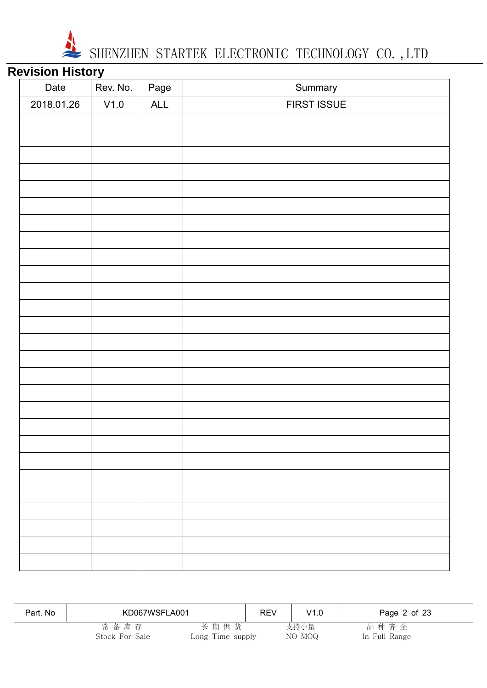

## **Revision History**

| Date       | Rev. No. | Page | Summary     |
|------------|----------|------|-------------|
| 2018.01.26 | V1.0     | ALL  | FIRST ISSUE |
|            |          |      |             |
|            |          |      |             |
|            |          |      |             |
|            |          |      |             |
|            |          |      |             |
|            |          |      |             |
|            |          |      |             |
|            |          |      |             |
|            |          |      |             |
|            |          |      |             |
|            |          |      |             |
|            |          |      |             |
|            |          |      |             |
|            |          |      |             |
|            |          |      |             |
|            |          |      |             |
|            |          |      |             |
|            |          |      |             |
|            |          |      |             |
|            |          |      |             |
|            |          |      |             |
|            |          |      |             |
|            |          |      |             |
|            |          |      |             |
|            |          |      |             |
|            |          |      |             |
|            |          |      |             |

| Part. No | KD067WSFLA001          |                          | REV | V1.0           | Page 2 of 23          |
|----------|------------------------|--------------------------|-----|----------------|-----------------------|
|          | 常备库存<br>Stock For Sale | 长期供货<br>Long Time supply |     | 支持小量<br>NO MOQ | 品种齐全<br>In Full Range |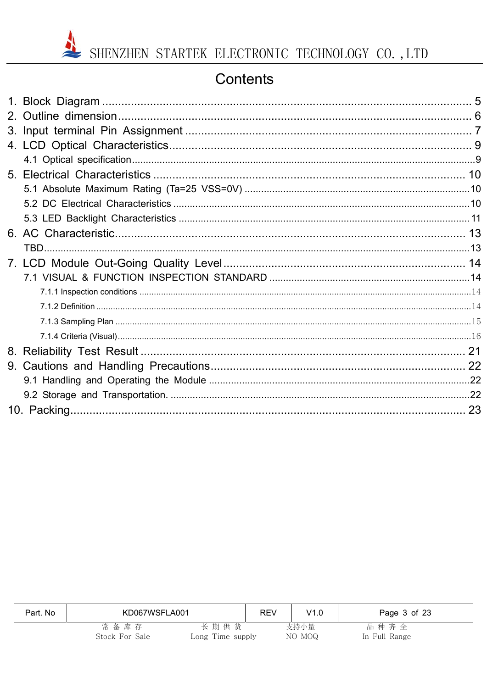## Contents

| Part. No | KD067WSFLA001          |                          | <b>REV</b> | V1.0           | Page 3 of 23          |  |
|----------|------------------------|--------------------------|------------|----------------|-----------------------|--|
|          | 常备库存<br>Stock For Sale | 长期供货<br>Long Time supply |            | 支持小量<br>NO MOQ | 品种齐全<br>In Full Range |  |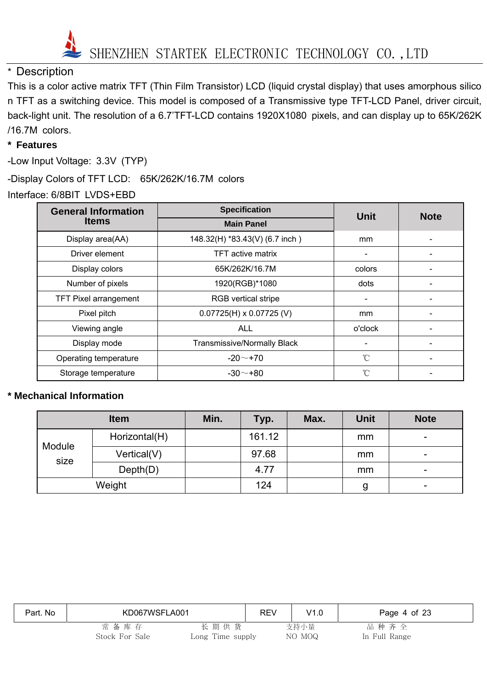

#### \* Description

This is a color active matrix TFT (Thin Film Transistor) LCD (liquid crystal display) that uses amorphous silico n TFT as a switching device. This model is composed of a Transmissive type TFT-LCD Panel, driver circuit, back-light unit. The resolution of a 6.7'TFT-LCD contains 1920X1080 pixels, and can display up to 65K/262K /16.7M colors.

#### **\* Features**

-Low Input Voltage: 3.3V (TYP)

-Display Colors of TFT LCD: 65K/262K/16.7M colors

#### Interface: 6/8BIT LVDS+EBD

| <b>General Information</b>   | <b>Specification</b>               | Unit                     | <b>Note</b> |
|------------------------------|------------------------------------|--------------------------|-------------|
| <b>Items</b>                 | <b>Main Panel</b>                  |                          |             |
| Display area(AA)             | 148.32(H) *83.43(V) (6.7 inch)     | mm                       |             |
| Driver element               | <b>TFT</b> active matrix           |                          |             |
| Display colors               | 65K/262K/16.7M                     | colors                   |             |
| Number of pixels             | 1920(RGB)*1080                     | dots                     |             |
| <b>TFT Pixel arrangement</b> | <b>RGB</b> vertical stripe         | $\overline{\phantom{0}}$ |             |
| Pixel pitch                  | $0.07725(H) \times 0.07725(V)$     | mm                       |             |
| Viewing angle                | <b>ALL</b>                         | o'clock                  |             |
| Display mode                 | <b>Transmissive/Normally Black</b> |                          |             |
| Operating temperature        | $-20$ $-$ +70                      | $^{\circ}$ C             |             |
| Storage temperature          | $-30$ $-$ +80                      | °C                       |             |

#### **\* Mechanical Information**

|                | <b>Item</b>   | Min. | Typ.   | Max. | Unit | <b>Note</b> |
|----------------|---------------|------|--------|------|------|-------------|
|                | Horizontal(H) |      | 161.12 |      | mm   | -           |
| Module<br>size | Vertical(V)   |      | 97.68  |      | mm   |             |
|                | Depth(D)      |      | 4.77   |      | mm   | -           |
|                | Weight        |      | 124    |      | g    | -           |

| Part. No | KD067WSFLA001          |                          | <b>REV</b> | V1.0           | Page 4 of 23          |
|----------|------------------------|--------------------------|------------|----------------|-----------------------|
|          | 常备库存<br>Stock For Sale | 长期供货<br>Long Time supply |            | 支持小量<br>NO MOQ | 品种齐全<br>In Full Range |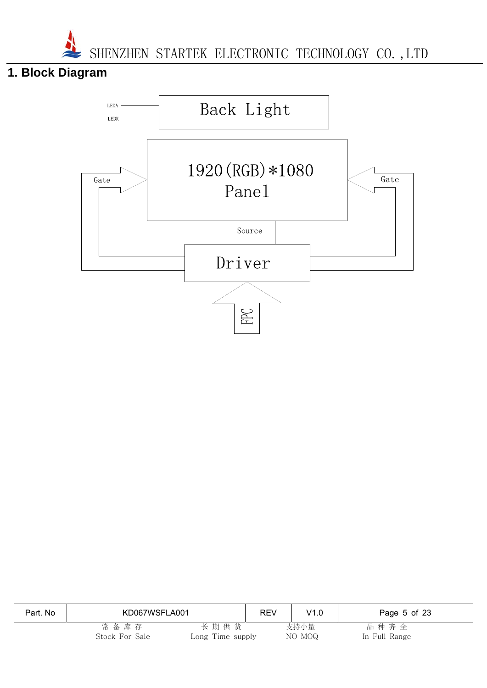## **1. Block Diagram**



| Part, No | KD067WSFLA001          |                          | <b>REV</b> | V1.0           | Page 5 of 23          |  |
|----------|------------------------|--------------------------|------------|----------------|-----------------------|--|
|          | 常备库存<br>Stock For Sale | 长期供货<br>Long Time supply |            | 支持小量<br>NO MOQ | 品种齐全<br>In Full Range |  |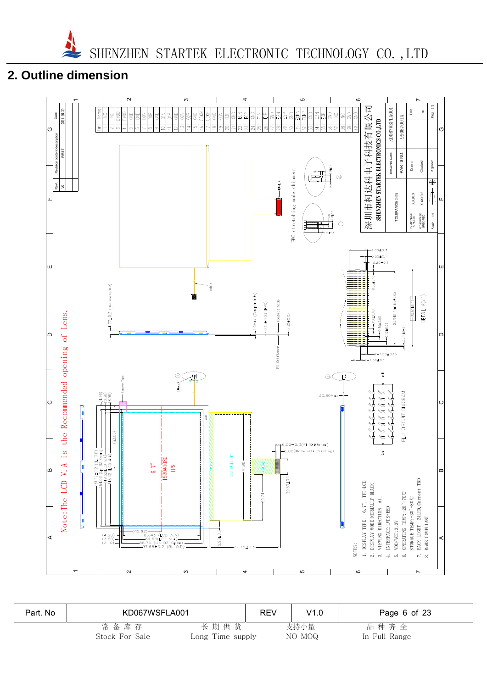## **2. Outline dimension**



| Part. No | KD067WSFLA001             |                          | <b>REV</b> | V1.0           | Page 6 of 23          |
|----------|---------------------------|--------------------------|------------|----------------|-----------------------|
|          | 常 备 库 存<br>Stock For Sale | 长期供货<br>Long Time supply |            | 支持小量<br>NO MOQ | 品种齐全<br>In Full Range |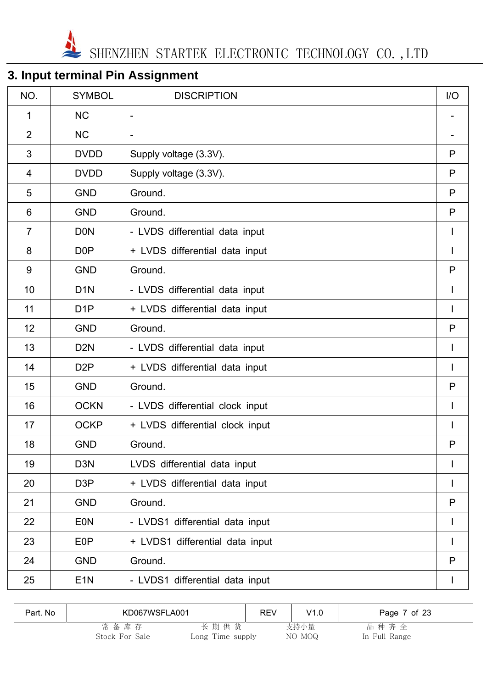

## **3. Input terminal Pin Assignment**

| NO.            | <b>SYMBOL</b>    | <b>DISCRIPTION</b>              | I/O          |
|----------------|------------------|---------------------------------|--------------|
| 1              | <b>NC</b>        | $\overline{\phantom{a}}$        |              |
| $\overline{2}$ | <b>NC</b>        | $\blacksquare$                  |              |
| 3              | <b>DVDD</b>      | Supply voltage (3.3V).          | P            |
| 4              | <b>DVDD</b>      | Supply voltage (3.3V).          | P            |
| 5              | <b>GND</b>       | Ground.                         | P            |
| 6              | <b>GND</b>       | Ground.                         | $\mathsf{P}$ |
| $\overline{7}$ | <b>DON</b>       | - LVDS differential data input  |              |
| 8              | D <sub>0</sub> P | + LVDS differential data input  | L            |
| 9              | <b>GND</b>       | Ground.                         | P            |
| 10             | D <sub>1</sub> N | - LVDS differential data input  |              |
| 11             | D <sub>1</sub> P | + LVDS differential data input  |              |
| 12             | <b>GND</b>       | Ground.                         | P            |
| 13             | D <sub>2</sub> N | - LVDS differential data input  |              |
| 14             | D <sub>2</sub> P | + LVDS differential data input  | $\mathbf{I}$ |
| 15             | <b>GND</b>       | Ground.                         | P            |
| 16             | <b>OCKN</b>      | - LVDS differential clock input | $\mathbf{I}$ |
| 17             | <b>OCKP</b>      | + LVDS differential clock input | I.           |
| 18             | <b>GND</b>       | Ground.                         | ${\sf P}$    |
| 19             | D <sub>3</sub> N | LVDS differential data input    |              |
| 20             | D <sub>3</sub> P | + LVDS differential data input  |              |
| 21             | <b>GND</b>       | Ground.                         | P            |
| 22             | <b>EON</b>       | - LVDS1 differential data input |              |
| 23             | E <sub>0</sub> P | + LVDS1 differential data input |              |
| 24             | <b>GND</b>       | Ground.                         | P            |
| 25             | E <sub>1</sub> N | - LVDS1 differential data input | $\mathbf{I}$ |

| Part. No | KD067WSFLA001          |                          | <b>REV</b> | V1.0           | Page 7 of 23          |
|----------|------------------------|--------------------------|------------|----------------|-----------------------|
|          | 常备库存<br>Stock For Sale | 长期供货<br>Long Time supply |            | 支持小量<br>NO MOQ | 品种齐全<br>In Full Range |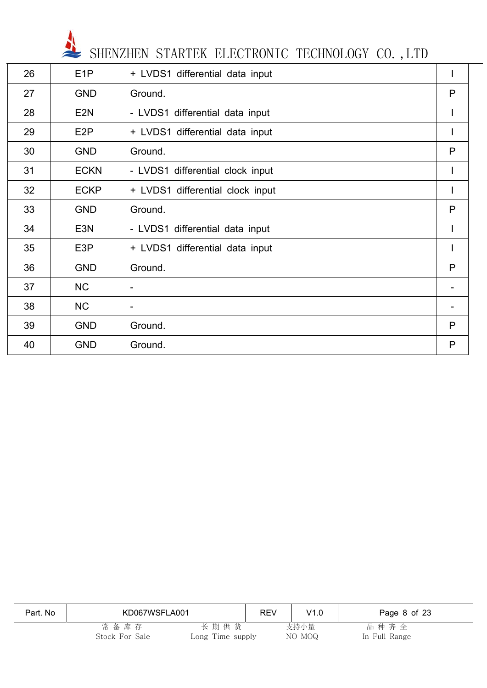

| 26 | E <sub>1</sub> P | + LVDS1 differential data input  |              |
|----|------------------|----------------------------------|--------------|
| 27 | <b>GND</b>       | Ground.                          | P            |
| 28 | E <sub>2N</sub>  | - LVDS1 differential data input  | $\mathbf{I}$ |
| 29 | E <sub>2</sub> P | + LVDS1 differential data input  | $\mathbf{I}$ |
| 30 | <b>GND</b>       | Ground.                          | P            |
| 31 | <b>ECKN</b>      | - LVDS1 differential clock input | L            |
| 32 | <b>ECKP</b>      | + LVDS1 differential clock input | I.           |
| 33 | <b>GND</b>       | Ground.                          | P            |
| 34 | E <sub>3</sub> N | - LVDS1 differential data input  | T            |
| 35 | E <sub>3</sub> P | + LVDS1 differential data input  | $\mathsf{I}$ |
| 36 | <b>GND</b>       | Ground.                          | P            |
| 37 | <b>NC</b>        | $\overline{\phantom{0}}$         |              |
| 38 | <b>NC</b>        | $\qquad \qquad -$                |              |
| 39 | <b>GND</b>       | Ground.                          | P            |
| 40 | <b>GND</b>       | Ground.                          | P            |

| Part. No | KD067WSFLA001          |                          | <b>REV</b> | V1.0           | Page 8 of 23          |  |
|----------|------------------------|--------------------------|------------|----------------|-----------------------|--|
|          | 常备库存<br>Stock For Sale | 长期供货<br>Long Time supply |            | 支持小量<br>NO MOQ | 品种齐全<br>In Full Range |  |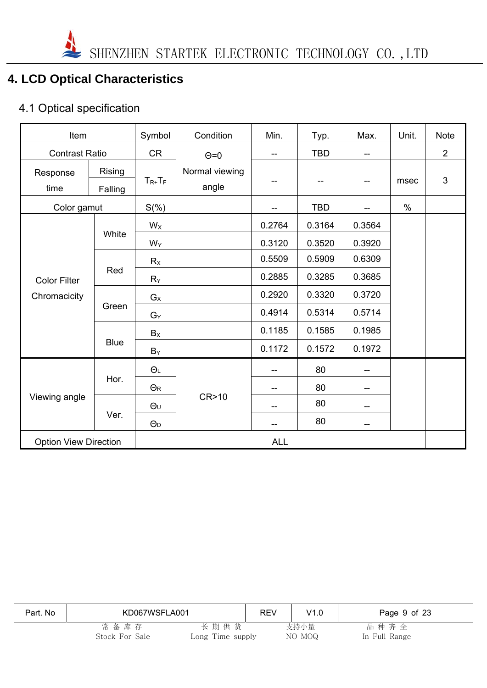

## **4. LCD Optical Characteristics**

## 4.1 Optical specification

| Item                         |                   | Symbol                                 | Condition    | Min.                     | Typ.       | Max.   | Unit. | <b>Note</b>    |
|------------------------------|-------------------|----------------------------------------|--------------|--------------------------|------------|--------|-------|----------------|
| <b>Contrast Ratio</b>        |                   | <b>CR</b>                              | $\Theta = 0$ | $\overline{a}$           | <b>TBD</b> | $-$    |       | $\overline{2}$ |
| Response<br>time             | Rising<br>Falling | Normal viewing<br>$T_{R+}T_F$<br>angle |              |                          | --         |        | msec  | 3              |
| Color gamut                  |                   | $S(\%)$                                |              | --                       | <b>TBD</b> | --     | $\%$  |                |
|                              |                   | $W_X$                                  |              | 0.2764                   | 0.3164     | 0.3564 |       |                |
|                              | White             | $W_Y$                                  |              | 0.3120                   | 0.3520     | 0.3920 |       |                |
|                              |                   | $R_X$                                  |              | 0.5509                   | 0.5909     | 0.6309 |       |                |
| <b>Color Filter</b>          | Red               | $R_Y$                                  |              | 0.2885                   | 0.3285     | 0.3685 |       |                |
| Chromacicity                 |                   | $G_X$                                  |              | 0.2920                   | 0.3320     | 0.3720 |       |                |
|                              | Green             | $G_Y$                                  |              | 0.4914                   | 0.5314     | 0.5714 |       |                |
|                              |                   | $B_X$                                  |              | 0.1185                   | 0.1585     | 0.1985 |       |                |
|                              | <b>Blue</b>       | $B_Y$                                  |              | 0.1172                   | 0.1572     | 0.1972 |       |                |
|                              |                   | $\Theta$ L                             |              | --                       | 80         | --     |       |                |
| Viewing angle                | Hor.              | $\Theta$ R                             |              | --                       | 80         | --     |       |                |
|                              |                   | $\Theta$ U                             | CR>10        | $\overline{\phantom{a}}$ | 80         | --     |       |                |
|                              | Ver.              | $\Theta$ <sub>D</sub>                  |              | --                       | 80         | --     |       |                |
| <b>Option View Direction</b> |                   |                                        |              | <b>ALL</b>               |            |        |       |                |

| Part. No | KD067WSFLA001          |                          | REV | V1.0           | Page 9 of 23          |
|----------|------------------------|--------------------------|-----|----------------|-----------------------|
|          | 常备库存<br>Stock For Sale | 长期供货<br>Long Time supply |     | 支持小量<br>NO MOQ | 品种齐全<br>In Full Range |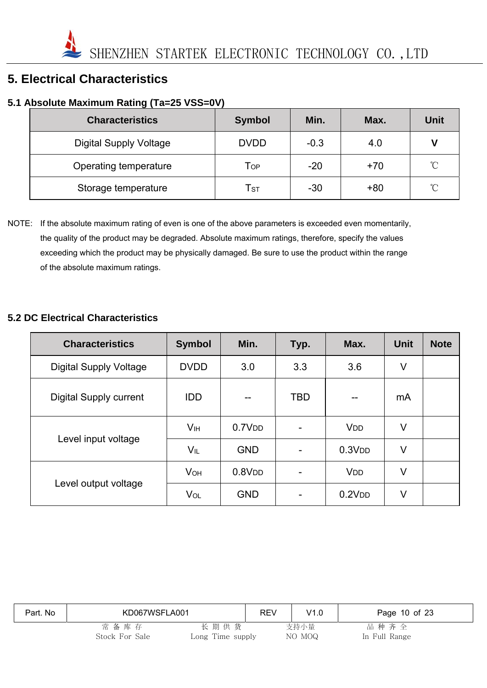## **5. Electrical Characteristics**

#### **5.1 Absolute Maximum Rating (Ta=25 VSS=0V)**

| <b>Characteristics</b>        | <b>Symbol</b>              | Min.   | Max.  | <b>Unit</b>  |
|-------------------------------|----------------------------|--------|-------|--------------|
| <b>Digital Supply Voltage</b> | <b>DVDD</b>                | $-0.3$ | 4.0   | V            |
| Operating temperature         | Тор                        | $-20$  | $+70$ | $^{\circ}$ C |
| Storage temperature           | $\mathsf{T}_{\texttt{ST}}$ | $-30$  | $+80$ | $^{\circ}$ C |

NOTE: If the absolute maximum rating of even is one of the above parameters is exceeded even momentarily, the quality of the product may be degraded. Absolute maximum ratings, therefore, specify the values exceeding which the product may be physically damaged. Be sure to use the product within the range of the absolute maximum ratings.

#### **5.2 DC Electrical Characteristics**

| <b>Characteristics</b>        | <b>Symbol</b>         | Min.               | Typ.       | Max.                  | <b>Unit</b> | <b>Note</b> |
|-------------------------------|-----------------------|--------------------|------------|-----------------------|-------------|-------------|
| <b>Digital Supply Voltage</b> | <b>DVDD</b>           | 3.0                | 3.3        | 3.6                   | V           |             |
| <b>Digital Supply current</b> | <b>IDD</b>            | --                 | <b>TBD</b> | --                    | mA          |             |
| Level input voltage           | V <sub>IH</sub>       | 0.7V <sub>DD</sub> | -          | <b>V<sub>DD</sub></b> | V           |             |
|                               | V <sub>IL</sub>       | <b>GND</b>         |            | 0.3V <sub>DD</sub>    | V           |             |
| Level output voltage          | <b>V<sub>OH</sub></b> | 0.8V <sub>DD</sub> | -          | <b>V<sub>DD</sub></b> | V           |             |
|                               | VOL                   | <b>GND</b>         |            | 0.2V <sub>DD</sub>    | V           |             |

| Part. No | KD067WSFLA001                  | <b>REV</b>       | V1.0           | Page 10 of 23         |
|----------|--------------------------------|------------------|----------------|-----------------------|
|          | 常备库存<br>长期供货<br>Stock For Sale | Long Time supply | 支持小量<br>NO MOQ | 品种齐全<br>In Full Range |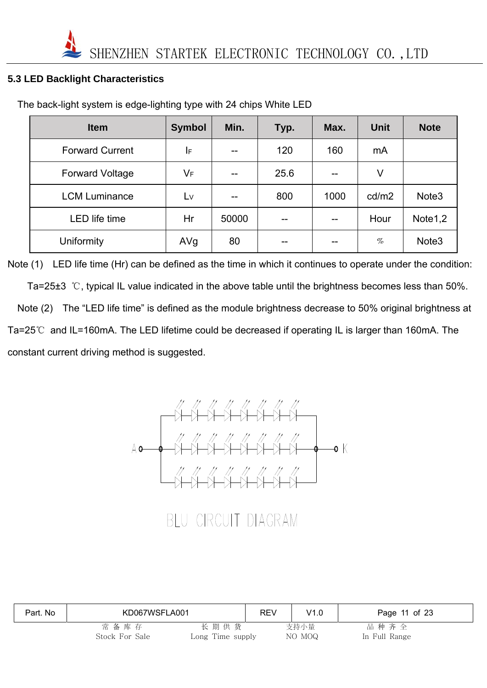#### **5.3 LED Backlight Characteristics**

| <b>Item</b>            | <b>Symbol</b> | Min.  | Typ. | Max. | <b>Unit</b> | <b>Note</b>         |
|------------------------|---------------|-------|------|------|-------------|---------------------|
| <b>Forward Current</b> | IF.           |       | 120  | 160  | mA          |                     |
| <b>Forward Voltage</b> | VF            |       | 25.6 | --   | V           |                     |
| <b>LCM Luminance</b>   | $L_{V}$       |       | 800  | 1000 | cd/m2       | Note <sub>3</sub>   |
| <b>LED</b> life time   | Hr            | 50000 | --   |      | Hour        | Note <sub>1,2</sub> |
| Uniformity             | AVg           | 80    | --   | --   | $\%$        | Note <sub>3</sub>   |

The back-light system is edge-lighting type with 24 chips White LED

Note (1) LED life time (Hr) can be defined as the time in which it continues to operate under the condition: Ta=25±3 ℃, typical IL value indicated in the above table until the brightness becomes less than 50%. Note (2) The "LED life time" is defined as the module brightness decrease to 50% original brightness at Ta=25℃ and IL=160mA. The LED lifetime could be decreased if operating IL is larger than 160mA. The constant current driving method is suggested.



BLU CIRCUIT DIAGRAM

| Part. No | KD067WSFLA001  |                  | <b>REV</b> | V1.0   | Page 11 of 23 |
|----------|----------------|------------------|------------|--------|---------------|
|          | 常备库存           | 长期供货             |            | 支持小量   | 品种齐全          |
|          | Stock For Sale | Long Time supply |            | NO MOQ | In Full Range |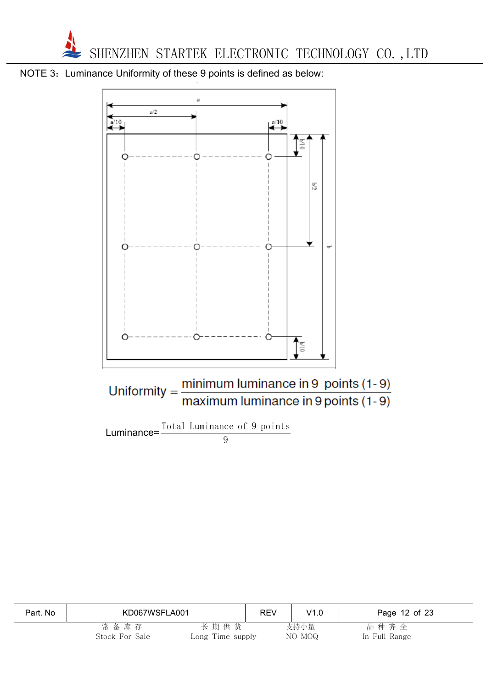





| Part. No | KD067WSFLA001             |                          | <b>REV</b> | V1.0           | Page 12 of 23         |
|----------|---------------------------|--------------------------|------------|----------------|-----------------------|
|          | 常 备 库 存<br>Stock For Sale | 长期供货<br>Long Time supply |            | 支持小量<br>NO MOQ | 品种齐全<br>In Full Range |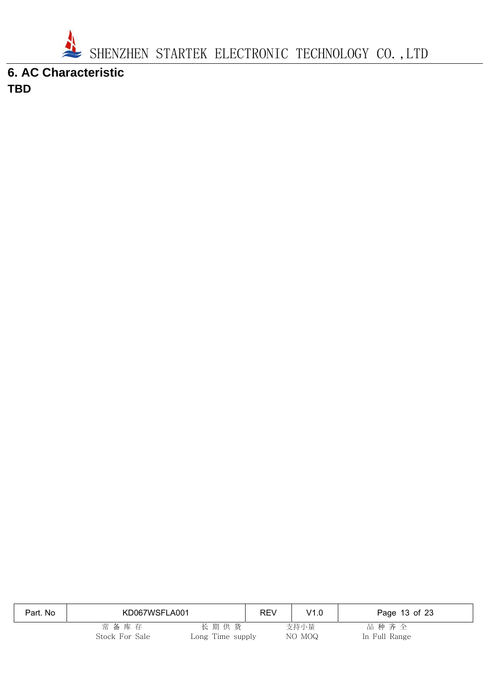

**6. AC Characteristic TBD** 

| Part. No | KD067WSFLA001          |                          | <b>REV</b> | V1.0           | Page 13 of 23         |  |
|----------|------------------------|--------------------------|------------|----------------|-----------------------|--|
|          | 常备库存<br>Stock For Sale | 长期供货<br>Long Time supply |            | 支持小量<br>NO MOQ | 品种齐全<br>In Full Range |  |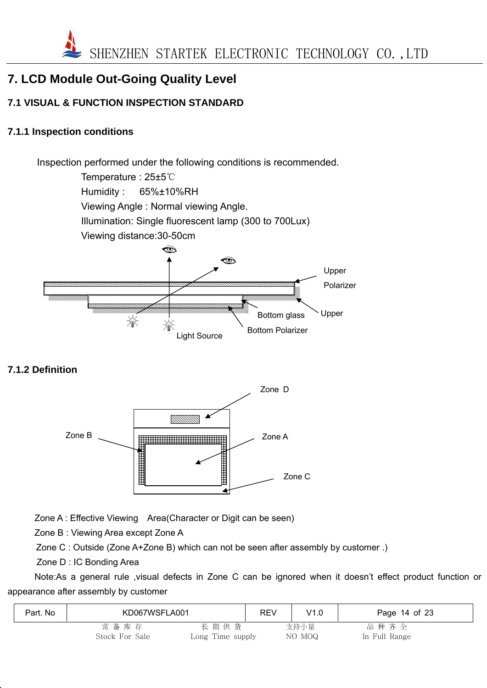

## **7. LCD Module Out-Going Quality Level**

#### **7.1 VISUAL & FUNCTION INSPECTION STANDARD**

#### **7.1.1 Inspection conditions**



#### **7.1.2 Definition**



Zone A : Effective Viewing Area(Character or Digit can be seen)

Zone B : Viewing Area except Zone A

Zone C : Outside (Zone A+Zone B) which can not be seen after assembly by customer .)

Zone D : IC Bonding Area

Note:As a general rule ,visual defects in Zone C can be ignored when it doesn't effect product function or appearance after assembly by customer

| Part. No | KD067WSFLA001  |                  | <b>REV</b> | V1.0   | Page 14 of 23 |
|----------|----------------|------------------|------------|--------|---------------|
|          | 常备库存           | 长期供货             |            | 支持小量   | 品种齐全          |
|          | Stock For Sale | Long Time supply |            | NO MOQ | In Full Range |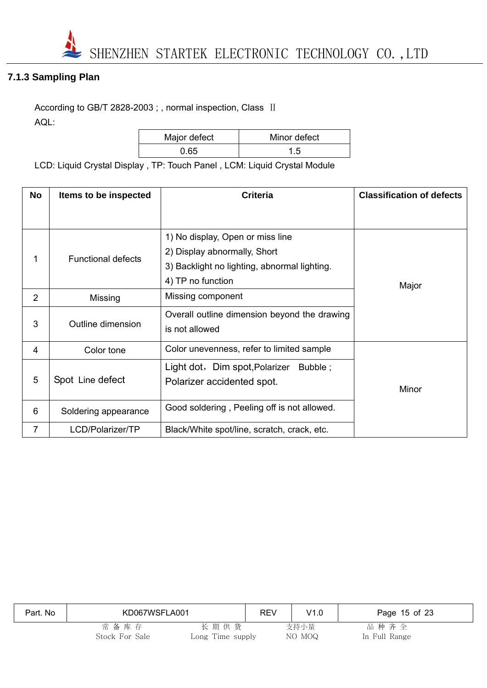

#### **7.1.3 Sampling Plan**

According to GB/T 2828-2003 ; , normal inspection, Class II AQL:

| Major defect | Minor defect |
|--------------|--------------|
| 0 65         | 1.5          |

LCD: Liquid Crystal Display , TP: Touch Panel , LCM: Liquid Crystal Module

| <b>No</b>      | Items to be inspected          | <b>Criteria</b>                              | <b>Classification of defects</b> |
|----------------|--------------------------------|----------------------------------------------|----------------------------------|
|                |                                |                                              |                                  |
|                |                                | 1) No display, Open or miss line             |                                  |
|                | <b>Functional defects</b><br>1 | 2) Display abnormally, Short                 |                                  |
|                |                                | 3) Backlight no lighting, abnormal lighting. |                                  |
|                |                                | 4) TP no function                            | Major                            |
| $\overline{2}$ | Missing                        | Missing component                            |                                  |
|                |                                | Overall outline dimension beyond the drawing |                                  |
| 3              | Outline dimension              | is not allowed                               |                                  |
| 4              | Color tone                     | Color unevenness, refer to limited sample    |                                  |
|                |                                | Light dot, Dim spot, Polarizer Bubble;       |                                  |
| 5              | Spot Line defect               | Polarizer accidented spot.                   | Minor                            |
|                |                                |                                              |                                  |
| 6              | Soldering appearance           | Good soldering, Peeling off is not allowed.  |                                  |
| 7              | LCD/Polarizer/TP               | Black/White spot/line, scratch, crack, etc.  |                                  |

| Part. No | KD067WSFLA001  |                  | REV | V1.0   | Page 15 of 23 |
|----------|----------------|------------------|-----|--------|---------------|
|          | 常 备 库 存        | 长期供货             |     | 支持小量   | 品种齐全          |
|          | Stock For Sale | Long Time supply |     | NO MOQ | In Full Range |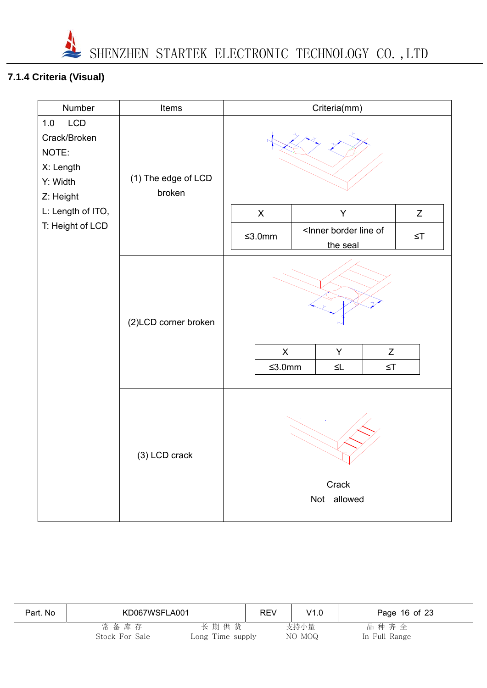

## **7.1.4 Criteria (Visual)**

| Number                                                                    | Items                         | Criteria(mm)                                                                                                       |  |  |  |  |
|---------------------------------------------------------------------------|-------------------------------|--------------------------------------------------------------------------------------------------------------------|--|--|--|--|
| LCD<br>1.0<br>Crack/Broken<br>NOTE:<br>X: Length<br>Y: Width<br>Z: Height | (1) The edge of LCD<br>broken |                                                                                                                    |  |  |  |  |
| L: Length of ITO,                                                         |                               | Y<br>$\pmb{\times}$<br>Z                                                                                           |  |  |  |  |
| T: Height of LCD                                                          |                               | <inner border="" line="" of<br=""><math display="inline">≤3.0mm</math><br/><math>\leq</math>T<br/>the seal</inner> |  |  |  |  |
|                                                                           | (2)LCD corner broken          | $\mathsf{X}$<br>Y<br>Z<br>$≤3.0mm$<br>$\leq\!\!\mathsf{L}$<br>$\leq$ T                                             |  |  |  |  |
|                                                                           | (3) LCD crack                 | Crack<br>Not allowed                                                                                               |  |  |  |  |

| Part. No | KD067WSFLA001             |                          | <b>REV</b> | V1.0           | Page 16 of 23         |  |
|----------|---------------------------|--------------------------|------------|----------------|-----------------------|--|
|          | 常 备 库 存<br>Stock For Sale | 长期供货<br>Long Time supply |            | 支持小量<br>NO MOQ | 品种齐全<br>In Full Range |  |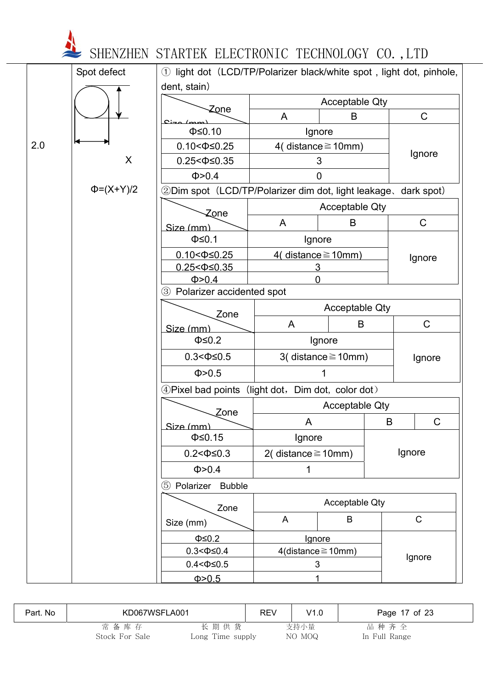|     | Spot defect      | $\left( \mathcal{L} \right)$<br>light dot (LCD/TP/Polarizer black/white spot, light dot, pinhole, |                             |                          |        |             |  |
|-----|------------------|---------------------------------------------------------------------------------------------------|-----------------------------|--------------------------|--------|-------------|--|
|     |                  | dent, stain)                                                                                      |                             |                          |        |             |  |
|     |                  | Zone                                                                                              |                             | <b>Acceptable Qty</b>    |        |             |  |
|     |                  | $C$ i $\rightarrow$ /m                                                                            | A                           | B                        |        | $\mathsf C$ |  |
|     |                  | $\Phi \leq 0.10$                                                                                  |                             | Ignore                   |        |             |  |
| 2.0 |                  | $0.10 < \Phi \leq 0.25$                                                                           |                             | 4( distance $\geq$ 10mm) |        |             |  |
|     | X                | $0.25 < \Phi \leq 0.35$                                                                           |                             | 3                        |        | Ignore      |  |
|     |                  | Φ > 0.4                                                                                           |                             | $\Omega$                 |        |             |  |
|     | $\Phi = (X+Y)/2$ | 2Dim spot (LCD/TP/Polarizer dim dot, light leakage, dark spot)                                    |                             |                          |        |             |  |
|     |                  |                                                                                                   |                             | <b>Acceptable Qty</b>    |        |             |  |
|     |                  | Zone<br>Size (mm)                                                                                 | A                           | B                        |        | $\mathsf C$ |  |
|     |                  | $\Phi \leq 0.1$                                                                                   | Ignore                      |                          |        |             |  |
|     |                  | $0.10 < \Phi \leq 0.25$                                                                           | 4( distance $\geq$ 10mm)    |                          |        |             |  |
|     |                  | $0.25 < \Phi \leq 0.35$                                                                           | 3                           |                          |        | Ignore      |  |
|     |                  | Φ > 0.4                                                                                           | 0                           |                          |        |             |  |
|     |                  | $\circled{3}$<br>Polarizer accidented spot                                                        |                             |                          |        |             |  |
|     |                  | Zone<br>Size (mm)                                                                                 | <b>Acceptable Qty</b>       |                          |        |             |  |
|     |                  |                                                                                                   | A<br>B                      |                          |        | $\mathsf C$ |  |
|     |                  | $\Phi \leq 0.2$                                                                                   | Ignore                      |                          |        |             |  |
|     |                  | $0.3 < \Phi \le 0.5$                                                                              | 3( distance $\geq$ 10mm)    |                          |        | Ignore      |  |
|     |                  | Φ > 0.5                                                                                           |                             |                          |        |             |  |
|     |                  | 4 Pixel bad points (light dot, Dim dot, color dot)                                                |                             |                          |        |             |  |
|     |                  |                                                                                                   | <b>Acceptable Qty</b>       |                          |        |             |  |
|     |                  | Zone<br>Size (mm)                                                                                 | A                           |                          | B      | $\mathsf C$ |  |
|     |                  | $\Phi \leq 0.15$                                                                                  | Ignore                      |                          |        |             |  |
|     |                  | $0.2 < \Phi \le 0.3$                                                                              | 2(distance $\geq$ 10mm)     |                          | Ignore |             |  |
|     |                  | Φ > 0.4                                                                                           | 1                           |                          |        |             |  |
|     |                  | $\circledS$<br>Polarizer Bubble                                                                   |                             |                          |        |             |  |
|     |                  | Zone                                                                                              |                             | <b>Acceptable Qty</b>    |        |             |  |
|     |                  | Size (mm)                                                                                         | A                           | B                        |        | $\mathsf C$ |  |
|     |                  | $\Phi \leq 0.2$                                                                                   |                             | Ignore                   |        |             |  |
|     |                  | $0.3 < \Phi \leq 0.4$                                                                             | $4$ (distance $\geq 10$ mm) |                          |        |             |  |
|     |                  | $0.4 < \Phi \le 0.5$                                                                              | 3                           |                          |        | Ignore      |  |
|     |                  | Φ > 0.5                                                                                           | 1                           |                          |        |             |  |

| Part. No | KD067WSFLA001          |                          | <b>REV</b> | V1.0           | Page 17 of 23         |
|----------|------------------------|--------------------------|------------|----------------|-----------------------|
|          | 常备库存<br>Stock For Sale | 长期供货<br>Long Time supply |            | 支持小量<br>NO MOQ | 品种齐全<br>In Full Range |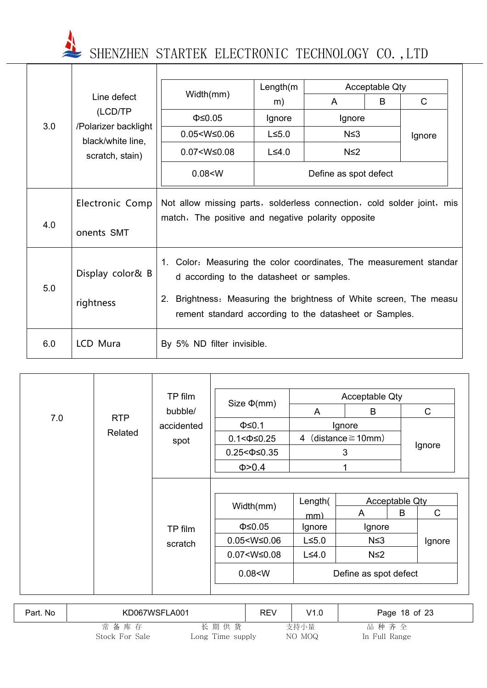|     |                                           |                                                                                                                                                                                                                                                   | Length(m)             |            | <b>Acceptable Qty</b> |              |  |  |
|-----|-------------------------------------------|---------------------------------------------------------------------------------------------------------------------------------------------------------------------------------------------------------------------------------------------------|-----------------------|------------|-----------------------|--------------|--|--|
|     | Line defect                               | Width(mm)                                                                                                                                                                                                                                         | m)                    | A          | B                     | $\mathsf{C}$ |  |  |
|     | (LCD/TP                                   | $\Phi \leq 0.05$                                                                                                                                                                                                                                  | Ignore                | Ignore     |                       |              |  |  |
| 3.0 | /Polarizer backlight<br>black/white line, | $0.05 < W \leq 0.06$                                                                                                                                                                                                                              | $L \le 5.0$           | $N \leq 3$ |                       | Ignore       |  |  |
|     | scratch, stain)                           | $0.07 < W \leq 0.08$                                                                                                                                                                                                                              | $L \leq 4.0$          | N≤2        |                       |              |  |  |
|     |                                           | 0.08 < W                                                                                                                                                                                                                                          | Define as spot defect |            |                       |              |  |  |
| 4.0 | Electronic Comp<br>onents SMT             | Not allow missing parts, solderless connection, cold solder joint, mis<br>match, The positive and negative polarity opposite                                                                                                                      |                       |            |                       |              |  |  |
| 5.0 | Display color& B<br>rightness             | 1. Color: Measuring the color coordinates, The measurement standar<br>d according to the datasheet or samples.<br>Brightness: Measuring the brightness of White screen, The measu<br>2.<br>rement standard according to the datasheet or Samples. |                       |            |                       |              |  |  |
| 6.0 | LCD Mura                                  | By 5% ND filter invisible.                                                                                                                                                                                                                        |                       |            |                       |              |  |  |

|     |            | TP film    | Size $\Phi$ (mm)        |                                         | <b>Acceptable Qty</b> |                       |        |   |   |
|-----|------------|------------|-------------------------|-----------------------------------------|-----------------------|-----------------------|--------|---|---|
| 7.0 | <b>RTP</b> | bubble/    |                         | A                                       | B                     |                       | C      |   |   |
|     |            | accidented | $\Phi \leq 0.1$         |                                         | Ignore                |                       |        |   |   |
|     | Related    | spot       | $0.1 < \Phi \le 0.25$   | $(distance \ge 10mm)$<br>$\overline{4}$ |                       |                       |        |   |   |
|     |            |            | $0.25 < \Phi \leq 0.35$ | 3                                       |                       |                       | Ignore |   |   |
|     |            |            | $\Phi > 0.4$            |                                         |                       |                       |        |   |   |
|     |            |            |                         | Length(                                 |                       | <b>Acceptable Qty</b> |        |   |   |
|     |            |            |                         |                                         | Width(mm)             | mm)                   | A      | B | C |
|     |            | TP film    | $\Phi \leq 0.05$        | Ignore                                  | Ignore                |                       |        |   |   |
|     |            | scratch    | $0.05 < W \leq 0.06$    | $L \le 5.0$                             | $N \leq 3$            |                       | Ignore |   |   |
|     |            |            | $0.07 < W \le 0.08$     | $L \leq 4.0$                            | $N \leq 2$            |                       |        |   |   |
|     |            |            | 0.08 < W                |                                         | Define as spot defect |                       |        |   |   |
|     |            |            |                         |                                         |                       |                       |        |   |   |

| Part, No | KD067WSFLA001  |                  | <b>REV</b> | V1.0   | Page 18 of 23 |
|----------|----------------|------------------|------------|--------|---------------|
|          | 常备库存           | 长期供货             |            | 支持小量   | 品种齐全          |
|          | Stock For Sale | Long Time supply |            | NO MOQ | In Full Range |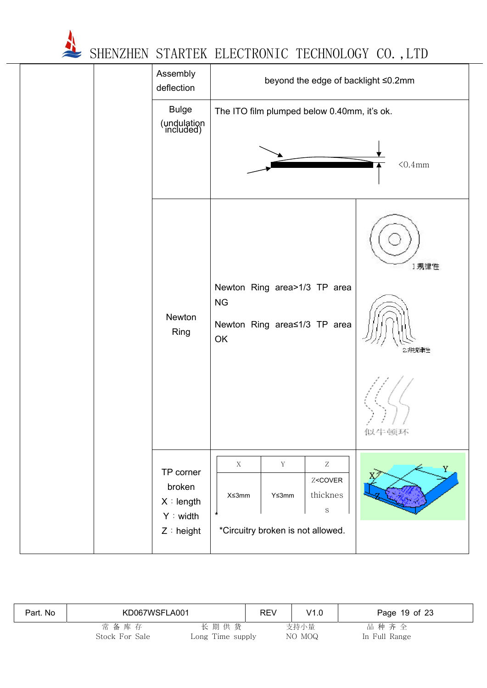

 $\frac{1}{2}$ 

| Assembly<br>deflection                           | beyond the edge of backlight ≤0.2mm                                                                                                                             |
|--------------------------------------------------|-----------------------------------------------------------------------------------------------------------------------------------------------------------------|
| <b>Bulge</b><br>(undulation<br>included)         | The ITO film plumped below 0.40mm, it's ok.                                                                                                                     |
|                                                  | $< 0.4$ mm                                                                                                                                                      |
|                                                  | 1規律性                                                                                                                                                            |
| Newton<br>Ring                                   | Newton Ring area>1/3 TP area<br>${\sf NG}$<br>Newton Ring area≤1/3 TP area<br>OK                                                                                |
|                                                  | 我用手<br>似乎呗坏                                                                                                                                                     |
| TP corner<br>broken<br>$X :$ length<br>Y : width | $\mathbf X$<br>$\mathbf Y$<br>$\ensuremath{\mathnormal{Z}}$<br>Y<br>Z <cover<br>thicknes<br/>X≤3mm<br/>Y≤3mm<br/><math display="inline">\rm S</math></cover<br> |
| $Z :$ height                                     | *Circuitry broken is not allowed.                                                                                                                               |

| Part. No | KD067WSFLA001             |                          | <b>REV</b> | V1.0           | Page 19 of 23         |  |
|----------|---------------------------|--------------------------|------------|----------------|-----------------------|--|
|          | 常 备 库 存<br>Stock For Sale | 长期供货<br>Long Time supply |            | 支持小量<br>NO MOQ | 品种齐全<br>In Full Range |  |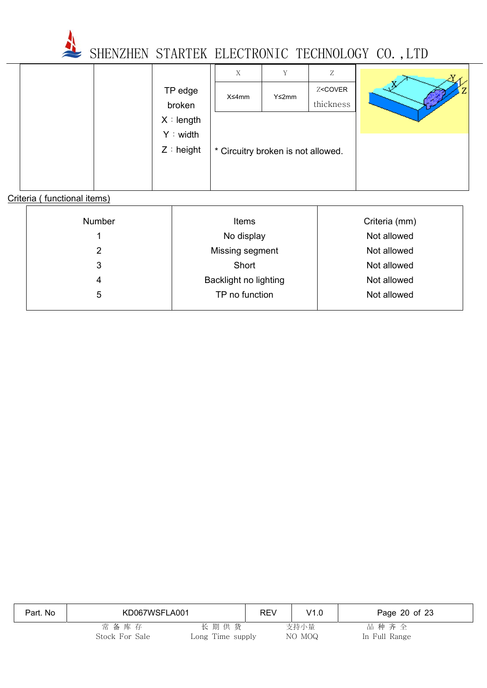

|  |              | X                                  | Y            | Z                                   |   |
|--|--------------|------------------------------------|--------------|-------------------------------------|---|
|  |              |                                    |              |                                     |   |
|  | TP edge      | X≤4mm                              | $Y \leq 2mm$ | Z <cover< td=""><td>Z</td></cover<> | Z |
|  | broken       |                                    |              | thickness                           |   |
|  | X : length   |                                    |              |                                     |   |
|  | Y : width    |                                    |              |                                     |   |
|  | $Z :$ height | * Circuitry broken is not allowed. |              |                                     |   |
|  |              |                                    |              |                                     |   |
|  |              |                                    |              |                                     |   |
|  |              |                                    |              |                                     |   |

#### Criteria ( functional items)

| <b>Number</b> | <b>Items</b>          | Criteria (mm) |
|---------------|-----------------------|---------------|
|               | No display            | Not allowed   |
| 2             | Missing segment       | Not allowed   |
| 3             | Short                 | Not allowed   |
| 4             | Backlight no lighting | Not allowed   |
| 5             | TP no function        | Not allowed   |
|               |                       |               |

| Part. No | KD067WSFLA001  |                  | <b>REV</b> | V1.0   | Page 20 of 23 |
|----------|----------------|------------------|------------|--------|---------------|
|          | 常 备 库 存        | 长期供货             |            | 支持小量   | 品种齐全          |
|          | Stock For Sale | Long Time supply |            | NO MOQ | In Full Range |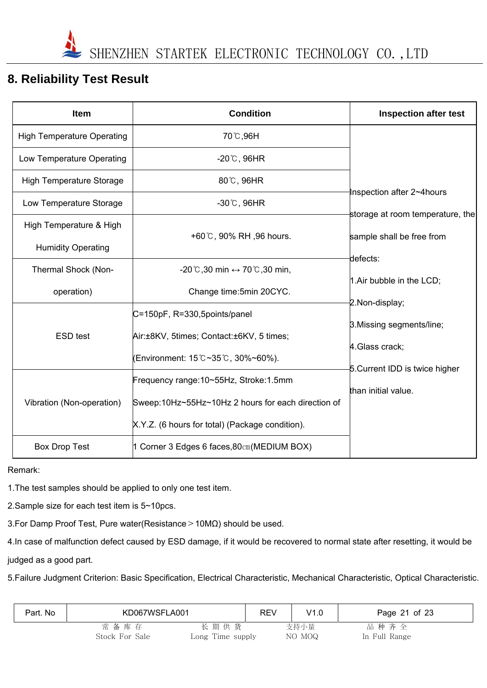## **8. Reliability Test Result**

| <b>Item</b>                       | <b>Condition</b>                                                 | <b>Inspection after test</b>     |
|-----------------------------------|------------------------------------------------------------------|----------------------------------|
| <b>High Temperature Operating</b> | 70℃,96H                                                          |                                  |
| Low Temperature Operating         | $-20^{\circ}$ C, 96HR                                            |                                  |
| <b>High Temperature Storage</b>   | 80°C, 96HR                                                       |                                  |
| Low Temperature Storage           | $-30^{\circ}$ C, 96HR                                            | Inspection after 2~4hours        |
| High Temperature & High           |                                                                  | storage at room temperature, the |
| <b>Humidity Operating</b>         | +60°C, 90% RH, 96 hours.                                         | sample shall be free from        |
| Thermal Shock (Non-               | $-20^{\circ}$ C,30 min $\leftrightarrow$ 70 $^{\circ}$ C,30 min, | defects:                         |
| operation)                        | Change time: 5min 20CYC.                                         | 1. Air bubble in the LCD;        |
|                                   | C=150pF, R=330,5points/panel                                     | 2.Non-display;                   |
| <b>ESD</b> test                   | Air:±8KV, 5times; Contact:±6KV, 5 times;                         | 3. Missing segments/line;        |
|                                   | (Environment: 15℃~35℃, 30%~60%).                                 | 4. Glass crack;                  |
|                                   | Frequency range:10~55Hz, Stroke:1.5mm                            | 5. Current IDD is twice higher   |
| Vibration (Non-operation)         | Sweep:10Hz~55Hz~10Hz 2 hours for each direction of               | than initial value.              |
|                                   | X.Y.Z. (6 hours for total) (Package condition).                  |                                  |
| <b>Box Drop Test</b>              | 1 Corner 3 Edges 6 faces, 80cm (MEDIUM BOX)                      |                                  |

Remark:

1.The test samples should be applied to only one test item.

2.Sample size for each test item is 5~10pcs.

3.For Damp Proof Test, Pure water(Resistance>10MΩ) should be used.

4.In case of malfunction defect caused by ESD damage, if it would be recovered to normal state after resetting, it would be

judged as a good part.

5.Failure Judgment Criterion: Basic Specification, Electrical Characteristic, Mechanical Characteristic, Optical Characteristic.

| Part. No | KD067WSFLA001  |                  | REV | V1.0   | Page 21 of 23 |
|----------|----------------|------------------|-----|--------|---------------|
|          | 常 备 库 存        | 长期供货             |     | 支持小量   | 品种齐全          |
|          | Stock For Sale | Long Time supply |     | NO MOQ | In Full Range |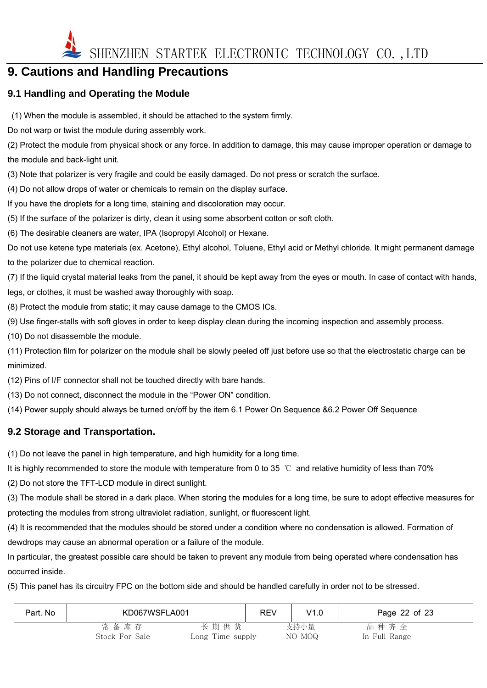

## **9. Cautions and Handling Precautions**

#### **9.1 Handling and Operating the Module**

(1) When the module is assembled, it should be attached to the system firmly.

Do not warp or twist the module during assembly work.

(2) Protect the module from physical shock or any force. In addition to damage, this may cause improper operation or damage to the module and back-light unit.

(3) Note that polarizer is very fragile and could be easily damaged. Do not press or scratch the surface.

(4) Do not allow drops of water or chemicals to remain on the display surface.

If you have the droplets for a long time, staining and discoloration may occur.

(5) If the surface of the polarizer is dirty, clean it using some absorbent cotton or soft cloth.

(6) The desirable cleaners are water, IPA (Isopropyl Alcohol) or Hexane.

Do not use ketene type materials (ex. Acetone), Ethyl alcohol, Toluene, Ethyl acid or Methyl chloride. It might permanent damage to the polarizer due to chemical reaction.

(7) If the liquid crystal material leaks from the panel, it should be kept away from the eyes or mouth. In case of contact with hands, legs, or clothes, it must be washed away thoroughly with soap.

(8) Protect the module from static; it may cause damage to the CMOS ICs.

(9) Use finger-stalls with soft gloves in order to keep display clean during the incoming inspection and assembly process.

(10) Do not disassemble the module.

(11) Protection film for polarizer on the module shall be slowly peeled off just before use so that the electrostatic charge can be minimized.

(12) Pins of I/F connector shall not be touched directly with bare hands.

(13) Do not connect, disconnect the module in the "Power ON" condition.

(14) Power supply should always be turned on/off by the item 6.1 Power On Sequence &6.2 Power Off Sequence

#### **9.2 Storage and Transportation.**

(1) Do not leave the panel in high temperature, and high humidity for a long time.

It is highly recommended to store the module with temperature from 0 to 35 ℃ and relative humidity of less than 70%

(2) Do not store the TFT-LCD module in direct sunlight.

(3) The module shall be stored in a dark place. When storing the modules for a long time, be sure to adopt effective measures for protecting the modules from strong ultraviolet radiation, sunlight, or fluorescent light.

(4) It is recommended that the modules should be stored under a condition where no condensation is allowed. Formation of dewdrops may cause an abnormal operation or a failure of the module.

In particular, the greatest possible care should be taken to prevent any module from being operated where condensation has occurred inside.

(5) This panel has its circuitry FPC on the bottom side and should be handled carefully in order not to be stressed.

| Part. No | KD067WSFLA001  |                  | <b>REV</b> | V1.0   | Page 22 of 23 |
|----------|----------------|------------------|------------|--------|---------------|
|          | 常备库存           | 长期供货             |            | 支持小量   | 品种齐全          |
|          | Stock For Sale | Long Time supply |            | NO MOQ | In Full Range |